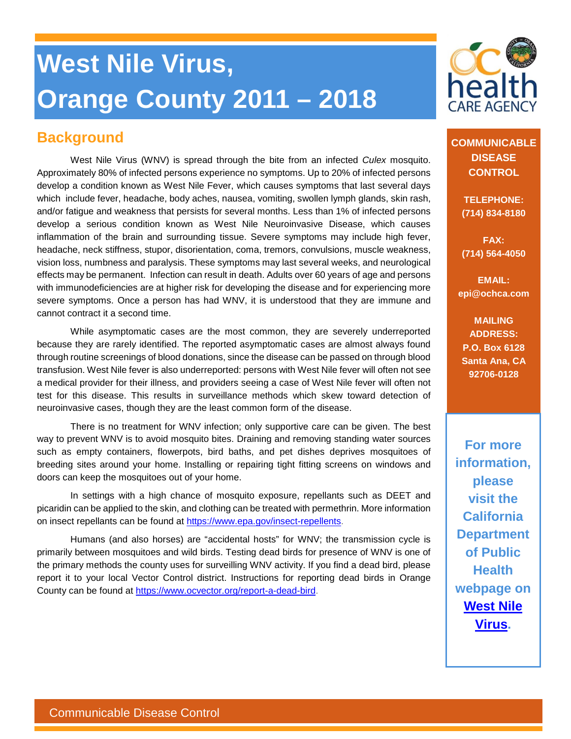# **West Nile Virus, Orange County 2011 – 2018**

## **Background**

West Nile Virus (WNV) is spread through the bite from an infected *Culex* mosquito. Approximately 80% of infected persons experience no symptoms. Up to 20% of infected persons develop a condition known as West Nile Fever, which causes symptoms that last several days which include fever, headache, body aches, nausea, vomiting, swollen lymph glands, skin rash, and/or fatigue and weakness that persists for several months. Less than 1% of infected persons develop a serious condition known as West Nile Neuroinvasive Disease, which causes inflammation of the brain and surrounding tissue. Severe symptoms may include high fever, headache, neck stiffness, stupor, disorientation, coma, tremors, convulsions, muscle weakness, vision loss, numbness and paralysis. These symptoms may last several weeks, and neurological effects may be permanent. Infection can result in death. Adults over 60 years of age and persons with immunodeficiencies are at higher risk for developing the disease and for experiencing more severe symptoms. Once a person has had WNV, it is understood that they are immune and cannot contract it a second time.

While asymptomatic cases are the most common, they are severely underreported because they are rarely identified. The reported asymptomatic cases are almost always found through routine screenings of blood donations, since the disease can be passed on through blood transfusion. West Nile fever is also underreported: persons with West Nile fever will often not see a medical provider for their illness, and providers seeing a case of West Nile fever will often not test for this disease. This results in surveillance methods which skew toward detection of neuroinvasive cases, though they are the least common form of the disease.

There is no treatment for WNV infection; only supportive care can be given. The best way to prevent WNV is to avoid mosquito bites. Draining and removing standing water sources such as empty containers, flowerpots, bird baths, and pet dishes deprives mosquitoes of breeding sites around your home. Installing or repairing tight fitting screens on windows and doors can keep the mosquitoes out of your home.

In settings with a high chance of mosquito exposure, repellants such as DEET and picaridin can be applied to the skin, and clothing can be treated with permethrin. More information on insect repellants can be found at [https://www.epa.gov/insect-repellents.](https://www.epa.gov/insect-repellents)

Humans (and also horses) are "accidental hosts" for WNV; the transmission cycle is primarily between mosquitoes and wild birds. Testing dead birds for presence of WNV is one of the primary methods the county uses for surveilling WNV activity. If you find a dead bird, please report it to your local Vector Control district. Instructions for reporting dead birds in Orange County can be found at [https://www.ocvector.org/report-a-dead-bird.](https://www.ocvector.org/report-a-dead-bird)



**COMMUNICABLE DISEASE CONTROL**

> **TELEPHONE: (714) 834-8180**

> **FAX: (714) 564-4050**

**EMAIL: epi@ochca.com**

**MAILING ADDRESS: P.O. Box 6128 Santa Ana, CA 92706-0128**

**For more information, please visit the California Department of Public Health webpage on [West Nile](http://www.westnile.ca.gov/)  [Virus.](http://www.westnile.ca.gov/)**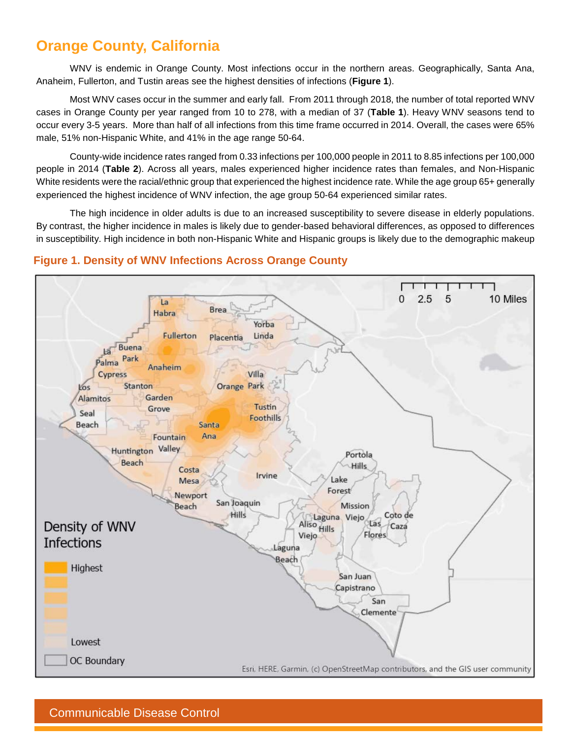## **Orange County, California**

WNV is endemic in Orange County. Most infections occur in the northern areas. Geographically, Santa Ana, Anaheim, Fullerton, and Tustin areas see the highest densities of infections (**Figure 1**).

Most WNV cases occur in the summer and early fall. From 2011 through 2018, the number of total reported WNV cases in Orange County per year ranged from 10 to 278, with a median of 37 (**Table 1**). Heavy WNV seasons tend to occur every 3-5 years. More than half of all infections from this time frame occurred in 2014. Overall, the cases were 65% male, 51% non-Hispanic White, and 41% in the age range 50-64.

County-wide incidence rates ranged from 0.33 infections per 100,000 people in 2011 to 8.85 infections per 100,000 people in 2014 (**Table 2**). Across all years, males experienced higher incidence rates than females, and Non-Hispanic White residents were the racial/ethnic group that experienced the highest incidence rate. While the age group 65+ generally experienced the highest incidence of WNV infection, the age group 50-64 experienced similar rates.

The high incidence in older adults is due to an increased susceptibility to severe disease in elderly populations. By contrast, the higher incidence in males is likely due to gender-based behavioral differences, as opposed to differences in susceptibility. High incidence in both non-Hispanic White and Hispanic groups is likely due to the demographic makeup



#### **Figure 1. Density of WNV Infections Across Orange County**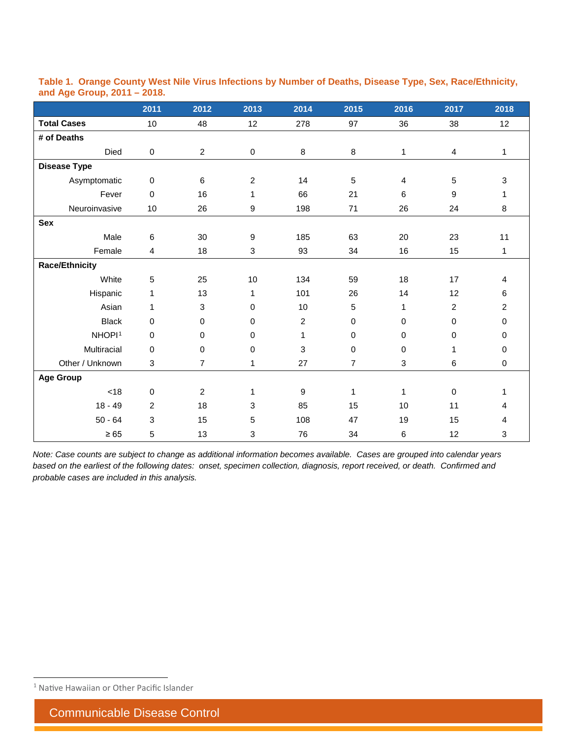|                       | 2011           | 2012           | 2013             | 2014             | 2015 | 2016         | 2017           | 2018           |
|-----------------------|----------------|----------------|------------------|------------------|------|--------------|----------------|----------------|
| <b>Total Cases</b>    | 10             | 48             | 12               | 278              | 97   | 36           | 38             | 12             |
| # of Deaths           |                |                |                  |                  |      |              |                |                |
| Died                  | $\pmb{0}$      | $\overline{2}$ | 0                | $\bf 8$          | 8    | $\mathbf{1}$ | 4              | $\mathbf{1}$   |
| <b>Disease Type</b>   |                |                |                  |                  |      |              |                |                |
| Asymptomatic          | $\mathsf 0$    | 6              | $\overline{2}$   | 14               | 5    | 4            | 5              | $\mathbf 3$    |
| Fever                 | $\mathbf 0$    | 16             | 1                | 66               | 21   | 6            | 9              | 1              |
| Neuroinvasive         | $10$           | 26             | 9                | 198              | 71   | 26           | 24             | 8              |
| <b>Sex</b>            |                |                |                  |                  |      |              |                |                |
| Male                  | 6              | 30             | $\boldsymbol{9}$ | 185              | 63   | $20\,$       | 23             | 11             |
| Female                | 4              | 18             | 3                | 93               | 34   | 16           | 15             | 1              |
| <b>Race/Ethnicity</b> |                |                |                  |                  |      |              |                |                |
| White                 | 5              | 25             | 10               | 134              | 59   | 18           | 17             | 4              |
| Hispanic              | $\mathbf{1}$   | 13             | $\mathbf{1}$     | 101              | 26   | 14           | 12             | 6              |
| Asian                 | 1              | 3              | $\mathbf 0$      | 10               | 5    | 1            | $\overline{2}$ | $\overline{c}$ |
| <b>Black</b>          | $\mathbf 0$    | 0              | $\mathbf 0$      | $\overline{2}$   | 0    | 0            | $\pmb{0}$      | $\pmb{0}$      |
| NHOPI <sup>1</sup>    | $\mathbf 0$    | 0              | $\mathbf 0$      | $\mathbf{1}$     | 0    | 0            | $\pmb{0}$      | $\mathbf 0$    |
| Multiracial           | 0              | 0              | $\mathbf 0$      | 3                | 0    | 0            | 1              | $\mathbf 0$    |
| Other / Unknown       | 3              | $\overline{7}$ | 1                | 27               | 7    | 3            | 6              | $\pmb{0}$      |
| <b>Age Group</b>      |                |                |                  |                  |      |              |                |                |
| $<18$                 | $\mathsf 0$    | $\overline{2}$ | $\mathbf{1}$     | $\boldsymbol{9}$ | 1    | $\mathbf{1}$ | $\pmb{0}$      | 1              |
| $18 - 49$             | $\overline{2}$ | 18             | 3                | 85               | 15   | 10           | 11             | 4              |
| $50 - 64$             | $\mathbf{3}$   | 15             | 5                | 108              | 47   | 19           | 15             | 4              |
| $\geq 65$             | 5              | 13             | 3                | 76               | 34   | 6            | 12             | 3              |

#### **Table 1. Orange County West Nile Virus Infections by Number of Deaths, Disease Type, Sex, Race/Ethnicity, and Age Group, 2011 – 2018.**

*Note: Case counts are subject to change as additional information becomes available. Cases are grouped into calendar years based on the earliest of the following dates: onset, specimen collection, diagnosis, report received, or death. Confirmed and probable cases are included in this analysis.*

<span id="page-2-0"></span><sup>&</sup>lt;sup>1</sup> Native Hawaiian or Other Pacific Islander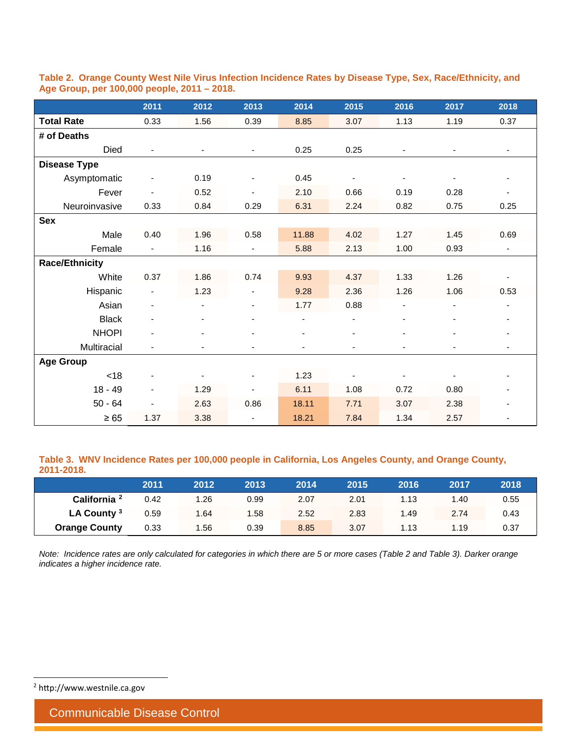|                       | 2011                     | 2012 | 2013                         | 2014  | 2015                         | 2016 | 2017                     | 2018                     |
|-----------------------|--------------------------|------|------------------------------|-------|------------------------------|------|--------------------------|--------------------------|
| <b>Total Rate</b>     | 0.33                     | 1.56 | 0.39                         | 8.85  | 3.07                         | 1.13 | 1.19                     | 0.37                     |
| # of Deaths           |                          |      |                              |       |                              |      |                          |                          |
| Died                  |                          |      | $\blacksquare$               | 0.25  | 0.25                         |      | $\overline{\phantom{a}}$ | $\overline{\phantom{a}}$ |
| <b>Disease Type</b>   |                          |      |                              |       |                              |      |                          |                          |
| Asymptomatic          |                          | 0.19 | $\overline{\phantom{a}}$     | 0.45  | $\overline{\phantom{a}}$     |      |                          | $\overline{\phantom{a}}$ |
| Fever                 |                          | 0.52 |                              | 2.10  | 0.66                         | 0.19 | 0.28                     | $\overline{\phantom{a}}$ |
| Neuroinvasive         | 0.33                     | 0.84 | 0.29                         | 6.31  | 2.24                         | 0.82 | 0.75                     | 0.25                     |
| <b>Sex</b>            |                          |      |                              |       |                              |      |                          |                          |
| Male                  | 0.40                     | 1.96 | 0.58                         | 11.88 | 4.02                         | 1.27 | 1.45                     | 0.69                     |
| Female                | $\blacksquare$           | 1.16 | $\overline{\phantom{a}}$     | 5.88  | 2.13                         | 1.00 | 0.93                     | $\overline{\phantom{a}}$ |
| <b>Race/Ethnicity</b> |                          |      |                              |       |                              |      |                          |                          |
| White                 | 0.37                     | 1.86 | 0.74                         | 9.93  | 4.37                         | 1.33 | 1.26                     |                          |
| Hispanic              |                          | 1.23 |                              | 9.28  | 2.36                         | 1.26 | 1.06                     | 0.53                     |
| Asian                 |                          | ÷,   |                              | 1.77  | 0.88                         |      | $\overline{\phantom{a}}$ |                          |
| <b>Black</b>          |                          |      |                              |       | $\qquad \qquad \blacksquare$ |      |                          | $\overline{\phantom{a}}$ |
| <b>NHOPI</b>          |                          |      |                              |       | $\blacksquare$               |      |                          | $\overline{\phantom{a}}$ |
| Multiracial           |                          | ٠    |                              |       | ٠                            |      |                          | ٠                        |
| <b>Age Group</b>      |                          |      |                              |       |                              |      |                          |                          |
| <18                   | $\overline{\phantom{a}}$ | ÷,   | $\qquad \qquad \blacksquare$ | 1.23  | $\overline{\phantom{a}}$     |      |                          |                          |
| $18 - 49$             |                          | 1.29 |                              | 6.11  | 1.08                         | 0.72 | 0.80                     |                          |
| $50 - 64$             |                          | 2.63 | 0.86                         | 18.11 | 7.71                         | 3.07 | 2.38                     |                          |
| $\geq 65$             | 1.37                     | 3.38 |                              | 18.21 | 7.84                         | 1.34 | 2.57                     |                          |

**Table 2. Orange County West Nile Virus Infection Incidence Rates by Disease Type, Sex, Race/Ethnicity, and Age Group, per 100,000 people, 2011 – 2018.**

**Table 3. WNV Incidence Rates per 100,000 people in California, Los Angeles County, and Orange County, 2011-2018.**

|                         | 2011 | 2012 | 2013 | 2014 | 2015 | 2016 | 2017  | 2018 |
|-------------------------|------|------|------|------|------|------|-------|------|
| California <sup>2</sup> | 0.42 | 1.26 | 0.99 | 2.07 | 2.01 | 1.13 | 40. ا | 0.55 |
| LA County <sup>3</sup>  | 0.59 | 1.64 | 1.58 | 2.52 | 2.83 | 1.49 | 2.74  | 0.43 |
| <b>Orange County</b>    | 0.33 | 1.56 | 0.39 | 8.85 | 3.07 | 1.13 | 1.19  | 0.37 |

<span id="page-3-0"></span>*Note: Incidence rates are only calculated for categories in which there are 5 or more cases (Table 2 and Table 3). Darker orange indicates a higher incidence rate.*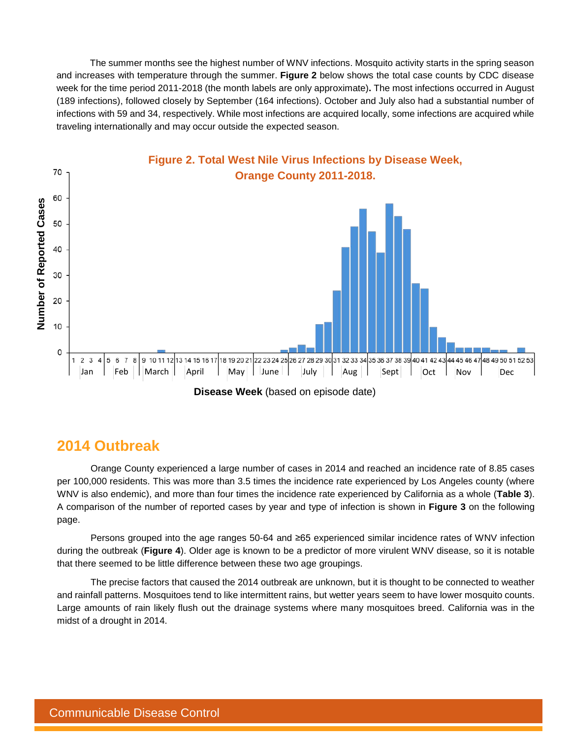The summer months see the highest number of WNV infections. Mosquito activity starts in the spring season and increases with temperature through the summer. **Figure 2** below shows the total case counts by CDC disease week for the time period 2011-2018 (the month labels are only approximate)**.** The most infections occurred in August (189 infections), followed closely by September (164 infections). October and July also had a substantial number of infections with 59 and 34, respectively. While most infections are acquired locally, some infections are acquired while traveling internationally and may occur outside the expected season.



### **2014 Outbreak**

Orange County experienced a large number of cases in 2014 and reached an incidence rate of 8.85 cases per 100,000 residents. This was more than 3.5 times the incidence rate experienced by Los Angeles county (where WNV is also endemic), and more than four times the incidence rate experienced by California as a whole (**Table 3**). A comparison of the number of reported cases by year and type of infection is shown in **Figure 3** on the following page.

Persons grouped into the age ranges 50-64 and ≥65 experienced similar incidence rates of WNV infection during the outbreak (**Figure 4**). Older age is known to be a predictor of more virulent WNV disease, so it is notable that there seemed to be little difference between these two age groupings.

The precise factors that caused the 2014 outbreak are unknown, but it is thought to be connected to weather and rainfall patterns. Mosquitoes tend to like intermittent rains, but wetter years seem to have lower mosquito counts. Large amounts of rain likely flush out the drainage systems where many mosquitoes breed. California was in the midst of a drought in 2014.